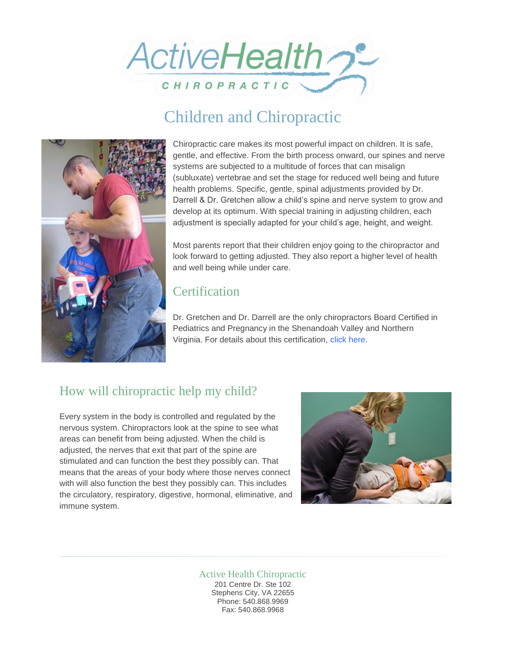

# Children and Chiropractic



Chiropractic care makes its most powerful impact on children. It is safe, gentle, and effective. From the birth process onward, our spines and nerve systems are subjected to a multitude of forces that can misalign (subluxate) vertebrae and set the stage for reduced well being and future health problems. Specific, gentle, spinal adjustments provided by Dr. Darrell & Dr. Gretchen allow a child's spine and nerve system to grow and develop at its optimum. With special training in adjusting children, each adjustment is specially adapted for your child's age, height, and weight.

Most parents report that their children enjoy going to the chiropractor and look forward to getting adjusted. They also report a higher level of health and well being while under care.

# **Certification**

Dr. Gretchen and Dr. Darrell are the only chiropractors Board Certified in Pediatrics and Pregnancy in the Shenandoah Valley and Northern Virginia. For details about this certification, [click here.](http://icpa4kids.org/About-the-ICPA/advanced-chiropractic-pediatric-credentials-and-research-contributor-status.html)

# How will chiropractic help my child?

Every system in the body is controlled and regulated by the nervous system. Chiropractors look at the spine to see what areas can benefit from being adjusted. When the child is adjusted, the nerves that exit that part of the spine are stimulated and can function the best they possibly can. That means that the areas of your body where those nerves connect with will also function the best they possibly can. This includes the circulatory, respiratory, digestive, hormonal, eliminative, and immune system.



#### Active Health Chiropractic 201 Centre Dr. Ste 102 Stephens City, VA 22655 Phone: 540.868.9969 Fax: 540.868.9968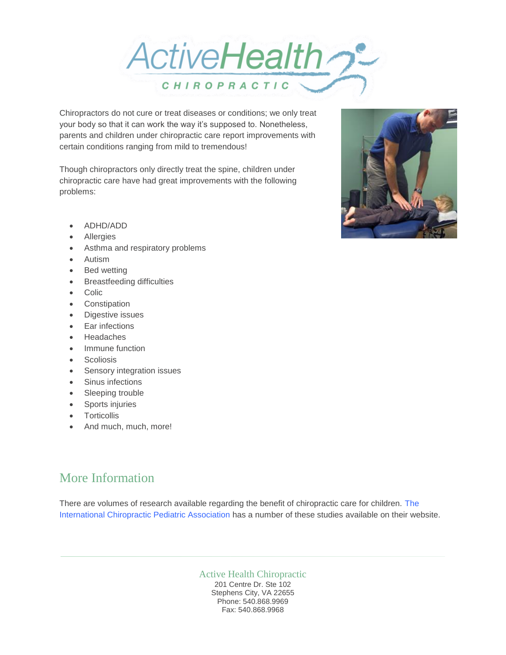

Chiropractors do not cure or treat diseases or conditions; we only treat your body so that it can work the way it's supposed to. Nonetheless, parents and children under chiropractic care report improvements with certain conditions ranging from mild to tremendous!

Though chiropractors only directly treat the spine, children under chiropractic care have had great improvements with the following problems:

- ADHD/ADD
- Allergies
- Asthma and respiratory problems
- Autism
- Bed wetting
- Breastfeeding difficulties
- Colic
- Constipation
- Digestive issues
- Ear infections
- Headaches
- Immune function
- Scoliosis
- Sensory integration issues
- Sinus infections
- Sleeping trouble
- Sports injuries
- **Torticollis**
- And much, much, more!

# More Information

There are volumes of research available regarding the benefit of chiropractic care for children. [The](http://icpa4kids.org/)  [International Chiropractic Pediatric Association](http://icpa4kids.org/) has a number of these studies available on their website.

#### Active Health Chiropractic 201 Centre Dr. Ste 102 Stephens City, VA 22655

Phone: 540.868.9969 Fax: 540.868.9968